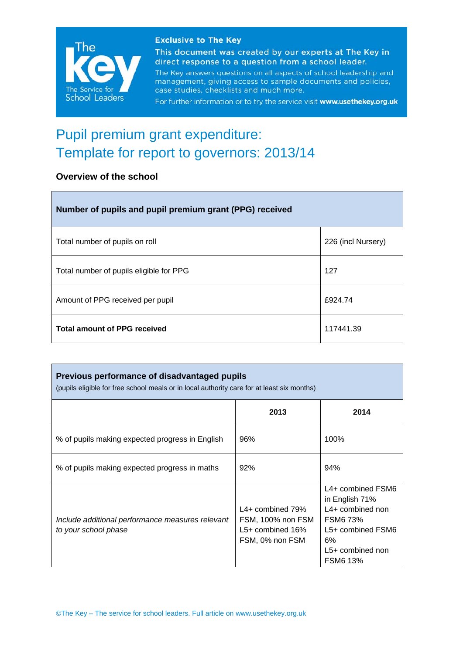

#### **Exclusive to The Key**

This document was created by our experts at The Key in direct response to a question from a school leader.

The Key answers questions on all aspects of school leadership and management, giving access to sample documents and policies, case studies, checklists and much more.

For further information or to try the service visit www.usethekey.org.uk

# Pupil premium grant expenditure: Template for report to governors: 2013/14

## **Overview of the school**

| Number of pupils and pupil premium grant (PPG) received |                    |  |  |
|---------------------------------------------------------|--------------------|--|--|
| Total number of pupils on roll                          | 226 (incl Nursery) |  |  |
| Total number of pupils eligible for PPG                 | 127                |  |  |
| Amount of PPG received per pupil                        | £924.74            |  |  |
| <b>Total amount of PPG received</b>                     | 117441.39          |  |  |

| Previous performance of disadvantaged pupils<br>(pupils eligible for free school meals or in local authority care for at least six months) |                                                                                  |                                                                                                                                                  |  |  |
|--------------------------------------------------------------------------------------------------------------------------------------------|----------------------------------------------------------------------------------|--------------------------------------------------------------------------------------------------------------------------------------------------|--|--|
|                                                                                                                                            | 2013                                                                             | 2014                                                                                                                                             |  |  |
| % of pupils making expected progress in English                                                                                            | 96%                                                                              | 100%                                                                                                                                             |  |  |
| % of pupils making expected progress in maths                                                                                              | 92%                                                                              | 94%                                                                                                                                              |  |  |
| Include additional performance measures relevant<br>to your school phase                                                                   | $L4+$ combined 79%<br>FSM, 100% non FSM<br>$L5+$ combined 16%<br>FSM, 0% non FSM | L4+ combined FSM6<br>in English 71%<br>$L4+$ combined non<br><b>FSM6 73%</b><br>L5+ combined FSM6<br>6%<br>$L5+$ combined non<br><b>FSM6 13%</b> |  |  |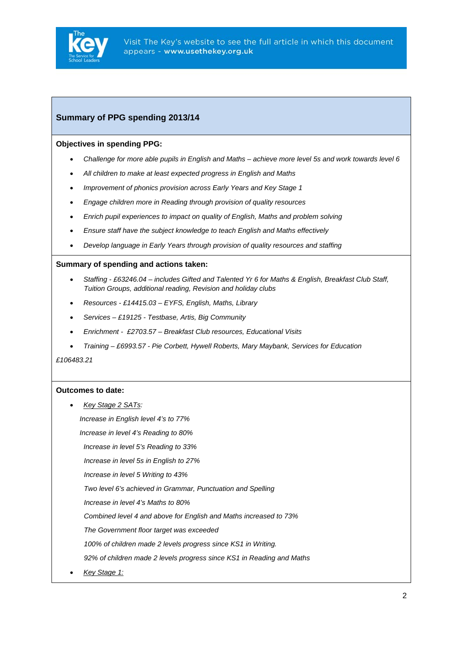

### **Summary of PPG spending 2013/14**

#### **Objectives in spending PPG:**

- *Challenge for more able pupils in English and Maths achieve more level 5s and work towards level 6*
- *All children to make at least expected progress in English and Maths*
- *Improvement of phonics provision across Early Years and Key Stage 1*
- *Engage children more in Reading through provision of quality resources*
- *Enrich pupil experiences to impact on quality of English, Maths and problem solving*
- *Ensure staff have the subject knowledge to teach English and Maths effectively*
- *Develop language in Early Years through provision of quality resources and staffing*

#### **Summary of spending and actions taken:**

- *Staffing £63246.04 includes Gifted and Talented Yr 6 for Maths & English, Breakfast Club Staff, Tuition Groups, additional reading, Revision and holiday clubs*
- *Resources £14415.03 EYFS, English, Maths, Library*
- *Services £19125 Testbase, Artis, Big Community*
- *Enrichment £2703.57 Breakfast Club resources, Educational Visits*
- *Training £6993.57 Pie Corbett, Hywell Roberts, Mary Maybank, Services for Education*

*£106483.21* 

#### **Outcomes to date:**

• *Key Stage 2 SATs:* 

 *Increase in English level 4's to 77%* 

 *Increase in level 4's Reading to 80%* 

 *Increase in level 5's Reading to 33%* 

*Increase in level 5s in English to 27%* 

*Increase in level 5 Writing to 43%* 

*Two level 6's achieved in Grammar, Punctuation and Spelling* 

*Increase in level 4's Maths to 80%* 

*Combined level 4 and above for English and Maths increased to 73%* 

*The Government floor target was exceeded* 

*100% of children made 2 levels progress since KS1 in Writing.* 

*92% of children made 2 levels progress since KS1 in Reading and Maths* 

• *Key Stage 1:*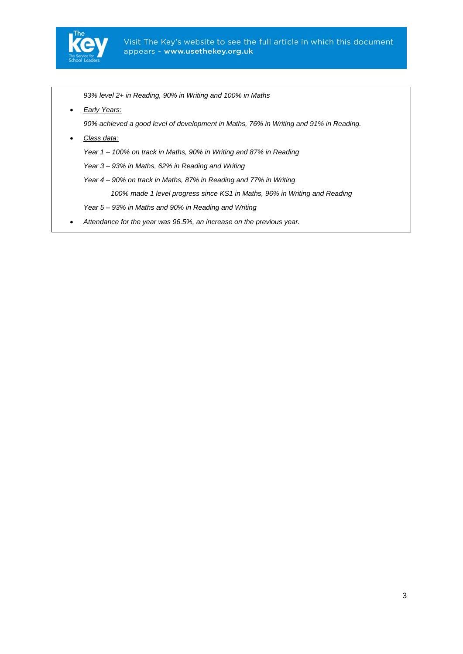

*93% level 2+ in Reading, 90% in Writing and 100% in Maths* 

• *Early Years:*

*90% achieved a good level of development in Maths, 76% in Writing and 91% in Reading.* 

• *Class data:*

*Year 1 – 100% on track in Maths, 90% in Writing and 87% in Reading* 

*Year 3 – 93% in Maths, 62% in Reading and Writing* 

*Year 4 – 90% on track in Maths, 87% in Reading and 77% in Writing* 

 *100% made 1 level progress since KS1 in Maths, 96% in Writing and Reading* 

*Year 5 – 93% in Maths and 90% in Reading and Writing* 

• *Attendance for the year was 96.5%, an increase on the previous year.*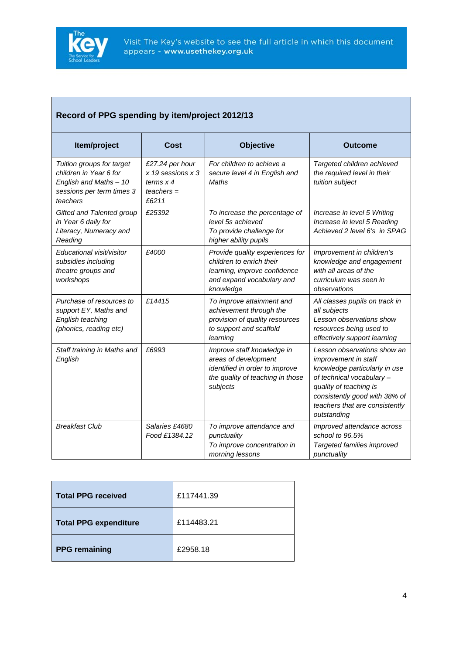

# **Record of PPG spending by item/project 2012/13**

| Item/project                                                                                                           | Cost                                                                            | <b>Objective</b>                                                                                                                      | <b>Outcome</b>                                                                                                                                                                                                                       |
|------------------------------------------------------------------------------------------------------------------------|---------------------------------------------------------------------------------|---------------------------------------------------------------------------------------------------------------------------------------|--------------------------------------------------------------------------------------------------------------------------------------------------------------------------------------------------------------------------------------|
| Tuition groups for target<br>children in Year 6 for<br>English and Maths - 10<br>sessions per term times 3<br>teachers | £27.24 per hour<br>$x$ 19 sessions $x$ 3<br>terms $x$ 4<br>$teaches =$<br>£6211 | For children to achieve a<br>secure level 4 in English and<br>Maths                                                                   | Targeted children achieved<br>the required level in their<br>tuition subject                                                                                                                                                         |
| Gifted and Talented group<br>in Year 6 daily for<br>Literacy, Numeracy and<br>Reading                                  | £25392                                                                          | To increase the percentage of<br>level 5s achieved<br>To provide challenge for<br>higher ability pupils                               | Increase in level 5 Writing<br>Increase in level 5 Reading<br>Achieved 2 level 6's in SPAG                                                                                                                                           |
| Educational visit/visitor<br>subsidies including<br>theatre groups and<br>workshops                                    | £4000                                                                           | Provide quality experiences for<br>children to enrich their<br>learning, improve confidence<br>and expand vocabulary and<br>knowledge | Improvement in children's<br>knowledge and engagement<br>with all areas of the<br>curriculum was seen in<br>observations                                                                                                             |
| Purchase of resources to<br>support EY, Maths and<br>English teaching<br>(phonics, reading etc)                        | £14415                                                                          | To improve attainment and<br>achievement through the<br>provision of quality resources<br>to support and scaffold<br>learning         | All classes pupils on track in<br>all subjects<br>Lesson observations show<br>resources being used to<br>effectively support learning                                                                                                |
| Staff training in Maths and<br>English                                                                                 | £6993                                                                           | Improve staff knowledge in<br>areas of development<br>identified in order to improve<br>the quality of teaching in those<br>subjects  | Lesson observations show an<br><i>improvement in staff</i><br>knowledge particularly in use<br>of technical vocabulary -<br>quality of teaching is<br>consistently good with 38% of<br>teachers that are consistently<br>outstanding |
| <b>Breakfast Club</b>                                                                                                  | Salaries £4680<br>Food £1384.12                                                 | To improve attendance and<br>punctuality<br>To improve concentration in<br>morning lessons                                            | Improved attendance across<br>school to 96.5%<br>Targeted families improved<br>punctuality                                                                                                                                           |

| <b>Total PPG received</b>    | £117441.39 |
|------------------------------|------------|
| <b>Total PPG expenditure</b> | £114483.21 |
| <b>PPG</b> remaining         | £2958.18   |